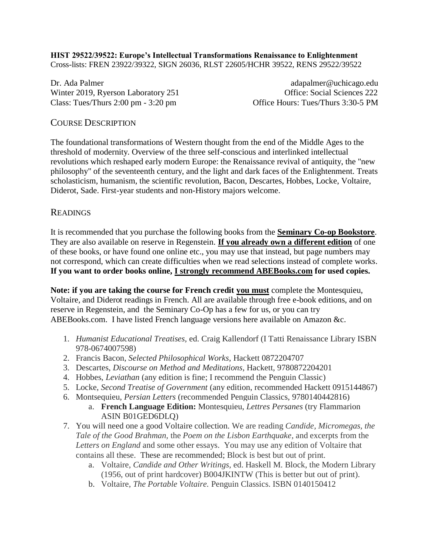**HIST 29522/39522: Europe's Intellectual Transformations Renaissance to Enlightenment** Cross-lists: FREN 23922/39322, SIGN 26036, RLST 22605/HCHR 39522, RENS 29522/39522

Dr. Ada Palmer adapalmer@uchicago.edu Winter 2019, Ryerson Laboratory 251 Office: Social Sciences 222 Class: Tues/Thurs 2:00 pm - 3:20 pm Class: Tues/Thurs 3:30-5 PM

#### COURSE DESCRIPTION

The foundational transformations of Western thought from the end of the Middle Ages to the threshold of modernity. Overview of the three self-conscious and interlinked intellectual revolutions which reshaped early modern Europe: the Renaissance revival of antiquity, the "new philosophy" of the seventeenth century, and the light and dark faces of the Enlightenment. Treats scholasticism, humanism, the scientific revolution, Bacon, Descartes, Hobbes, Locke, Voltaire, Diderot, Sade. First-year students and non-History majors welcome.

#### READINGS

It is recommended that you purchase the following books from the **Seminary Co-op Bookstore**. They are also available on reserve in Regenstein. **If you already own a different edition** of one of these books, or have found one online etc., you may use that instead, but page numbers may not correspond, which can create difficulties when we read selections instead of complete works. **If you want to order books online, I strongly recommend ABEBooks.com for used copies.**

**Note: if you are taking the course for French credit you must** complete the Montesquieu, Voltaire, and Diderot readings in French. All are available through free e-book editions, and on reserve in Regenstein, and the Seminary Co-Op has a few for us, or you can try ABEBooks.com. I have listed French language versions here available on Amazon &c.

- 1. *Humanist Educational Treatises,* ed. Craig Kallendorf (I Tatti Renaissance Library ISBN 978-0674007598)
- 2. Francis Bacon, *Selected Philosophical Works*, Hackett 0872204707
- 3. Descartes, *Discourse on Method and Meditations*, Hackett, 9780872204201
- 4. Hobbes, *Leviathan* (any edition is fine; I recommend the Penguin Classic)
- 5. Locke, *Second Treatise of Government* (any edition, recommended Hackett 0915144867)
- 6. Montsequieu, *Persian Letters* (recommended Penguin Classics, 9780140442816)
	- a. **French Language Edition:** Montesquieu, *Lettres Persanes* (try Flammarion ASIN B01GED6DLQ)
- 7. You will need one a good Voltaire collection. We are reading *Candide, Micromegas, the Tale of the Good Brahman,* the *Poem on the Lisbon Earthquake,* and excerpts from the *Letters on England* and some other essays. You may use any edition of Voltaire that contains all these. These are recommended; Block is best but out of print.
	- a. Voltaire, *Candide and Other Writings,* ed. Haskell M. Block, the Modern Library (1956, out of print hardcover) B004JKINTW (This is better but out of print).
	- b. Voltaire, *The Portable Voltaire.* Penguin Classics. ISBN 0140150412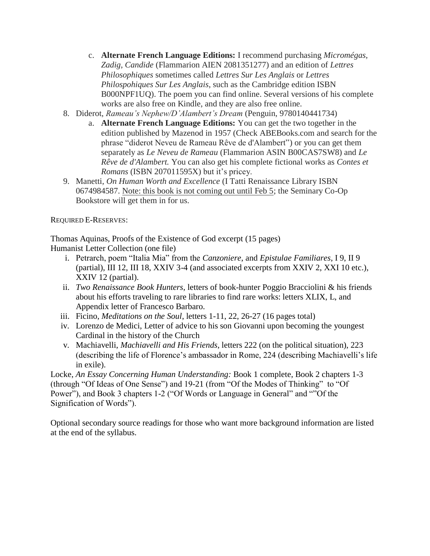- c. **Alternate French Language Editions:** I recommend purchasing *Micromégas, Zadig, Candide* (Flammarion AIEN 2081351277) and an edition of *Lettres Philosophiques* sometimes called *Lettres Sur Les Anglais* or *Lettres Philospohiques Sur Les Anglais*, such as the Cambridge edition ISBN B000NPF1UQ). The poem you can find online. Several versions of his complete works are also free on Kindle, and they are also free online.
- 8. Diderot, *Rameau's Nephew/D'Alambert's Dream* (Penguin, 9780140441734)
	- a. **Alternate French Language Editions:** You can get the two together in the edition published by Mazenod in 1957 (Check ABEBooks.com and search for the phrase "diderot Neveu de Rameau Rêve de d'Alambert") or you can get them separately as *Le Neveu de Rameau* (Flammarion ASIN B00CAS7SW8) and *Le Rêve de d'Alambert.* You can also get his complete fictional works as *Contes et Romans* (ISBN 207011595X) but it's pricey.
- 9. Manetti, *On Human Worth and Excellence* (I Tatti Renaissance Library ISBN 0674984587. Note: this book is not coming out until Feb 5; the Seminary Co-Op Bookstore will get them in for us.

REQUIRED E-RESERVES:

Thomas Aquinas, Proofs of the Existence of God excerpt (15 pages) Humanist Letter Collection (one file)

- i. Petrarch, poem "Italia Mia" from the *Canzoniere*, and *Epistulae Familiares*, I 9, II 9 (partial), III 12, III 18, XXIV 3-4 (and associated excerpts from XXIV 2, XXI 10 etc.), XXIV 12 (partial).
- ii. *Two Renaissance Book Hunters*, letters of book-hunter Poggio Bracciolini & his friends about his efforts traveling to rare libraries to find rare works: letters XLIX, L, and Appendix letter of Francesco Barbaro.
- iii. Ficino, *Meditations on the Soul*, letters 1-11, 22, 26-27 (16 pages total)
- iv. Lorenzo de Medici, Letter of advice to his son Giovanni upon becoming the youngest Cardinal in the history of the Church
- v. Machiavelli, *Machiavelli and His Friends*, letters 222 (on the political situation), 223 (describing the life of Florence's ambassador in Rome, 224 (describing Machiavelli's life in exile).

Locke, *An Essay Concerning Human Understanding:* Book 1 complete, Book 2 chapters 1-3 (through "Of Ideas of One Sense") and 19-21 (from "Of the Modes of Thinking" to "Of Power"), and Book 3 chapters 1-2 ("Of Words or Language in General" and ""Of the Signification of Words").

Optional secondary source readings for those who want more background information are listed at the end of the syllabus.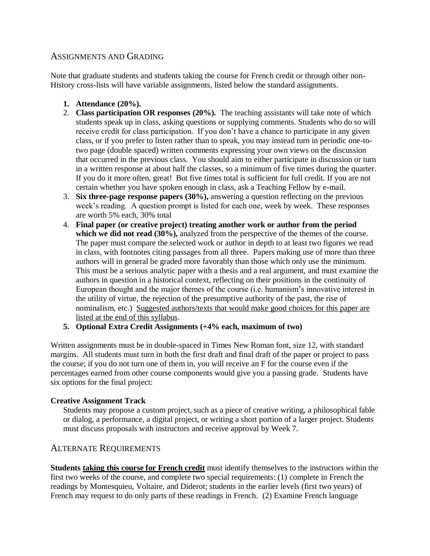## ASSIGNMENTS AND GRADING

Note that graduate students and students taking the course for French credit or through other non-History cross-lists will have variable assignments, listed below the standard assignments.

- **1. Attendance (20%).**
- 2. **Class participation OR responses (20%).** The teaching assistants will take note of which students speak up in class, asking questions or supplying comments. Students who do so will receive credit for class participation. If you don't have a chance to participate in any given class, or if you prefer to listen rather than to speak, you may instead turn in periodic one-totwo page (double spaced) written comments expressing your own views on the discussion that occurred in the previous class. You should aim to either participate in discussion or turn in a written response at about half the classes, so a minimum of five times during the quarter. If you do it more often, great! But five times total is sufficient for full credit. If you are not certain whether you have spoken enough in class, ask a Teaching Fellow by e-mail.
- 3. **Six three-page response papers (30%),** answering a question reflecting on the previous week's reading. A question prompt is listed for each one, week by week. These responses are worth 5% each, 30% total
- 4. **Final paper (or creative project) treating another work or author from the period which we did not read (30%),** analyzed from the perspective of the themes of the course. The paper must compare the selected work or author in depth to at least two figures we read in class, with footnotes citing passages from all three. Papers making use of more than three authors will in general be graded more favorably than those which only use the minimum. This must be a serious analytic paper with a thesis and a real argument, and must examine the authors in question in a historical context, reflecting on their positions in the continuity of European thought and the major themes of the course (i.e. humanism's innovative interest in the utility of virtue, the rejection of the presumptive authority of the past, the rise of nominalism, etc.) Suggested authors/texts that would make good choices for this paper are listed at the end of this syllabus.
- **5. Optional Extra Credit Assignments (+4% each, maximum of two)**

Written assignments must be in double-spaced in Times New Roman font, size 12, with standard margins. All students must turn in both the first draft and final draft of the paper or project to pass the course; if you do not turn one of them in, you will receive an F for the course even if the percentages earned from other course components would give you a passing grade. Students have six options for the final project:

#### **Creative Assignment Track**

Students may propose a custom project, such as a piece of creative writing, a philosophical fable or dialog, a performance, a digital project, or writing a short portion of a larger project. Students must discuss proposals with instructors and receive approval by Week 7.

## ALTERNATE REQUIREMENTS

**Students taking this course for French credit** must identify themselves to the instructors within the first two weeks of the course, and complete two special requirements: (1) complete in French the readings by Montesquieu, Voltaire, and Diderot; students in the earlier levels (first two years) of French may request to do only parts of these readings in French. (2) Examine French language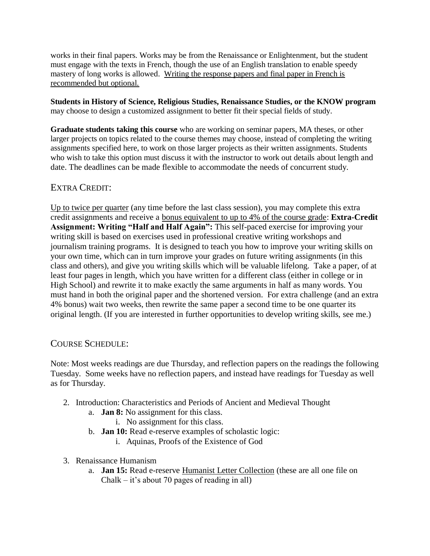works in their final papers. Works may be from the Renaissance or Enlightenment, but the student must engage with the texts in French, though the use of an English translation to enable speedy mastery of long works is allowed. Writing the response papers and final paper in French is recommended but optional.

**Students in History of Science, Religious Studies, Renaissance Studies, or the KNOW program** may choose to design a customized assignment to better fit their special fields of study.

**Graduate students taking this course** who are working on seminar papers, MA theses, or other larger projects on topics related to the course themes may choose, instead of completing the writing assignments specified here, to work on those larger projects as their written assignments. Students who wish to take this option must discuss it with the instructor to work out details about length and date. The deadlines can be made flexible to accommodate the needs of concurrent study.

## EXTRA CREDIT:

Up to twice per quarter (any time before the last class session), you may complete this extra credit assignments and receive a bonus equivalent to up to 4% of the course grade: **Extra-Credit Assignment: Writing "Half and Half Again":** This self-paced exercise for improving your writing skill is based on exercises used in professional creative writing workshops and journalism training programs. It is designed to teach you how to improve your writing skills on your own time, which can in turn improve your grades on future writing assignments (in this class and others), and give you writing skills which will be valuable lifelong. Take a paper, of at least four pages in length, which you have written for a different class (either in college or in High School) and rewrite it to make exactly the same arguments in half as many words. You must hand in both the original paper and the shortened version. For extra challenge (and an extra 4% bonus) wait two weeks, then rewrite the same paper a second time to be one quarter its original length. (If you are interested in further opportunities to develop writing skills, see me.)

## COURSE SCHEDULE:

Note: Most weeks readings are due Thursday, and reflection papers on the readings the following Tuesday. Some weeks have no reflection papers, and instead have readings for Tuesday as well as for Thursday.

- 2. Introduction: Characteristics and Periods of Ancient and Medieval Thought
	- a. **Jan 8:** No assignment for this class.
		- i. No assignment for this class.
	- b. **Jan 10:** Read e-reserve examples of scholastic logic:
		- i. Aquinas, Proofs of the Existence of God
- 3. Renaissance Humanism
	- a. **Jan 15:** Read e-reserve Humanist Letter Collection (these are all one file on Chalk – it's about 70 pages of reading in all)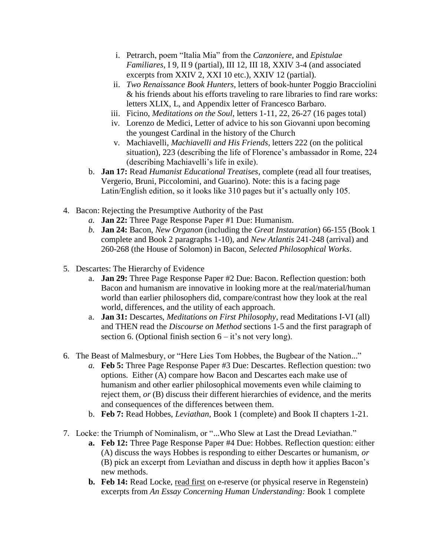- i. Petrarch, poem "Italia Mia" from the *Canzoniere*, and *Epistulae Familiares*, I 9, II 9 (partial), III 12, III 18, XXIV 3-4 (and associated excerpts from XXIV 2, XXI 10 etc.), XXIV 12 (partial).
- ii. *Two Renaissance Book Hunters*, letters of book-hunter Poggio Bracciolini & his friends about his efforts traveling to rare libraries to find rare works: letters XLIX, L, and Appendix letter of Francesco Barbaro.
- iii. Ficino, *Meditations on the Soul*, letters 1-11, 22, 26-27 (16 pages total)
- iv. Lorenzo de Medici, Letter of advice to his son Giovanni upon becoming the youngest Cardinal in the history of the Church
- v. Machiavelli, *Machiavelli and His Friends*, letters 222 (on the political situation), 223 (describing the life of Florence's ambassador in Rome, 224 (describing Machiavelli's life in exile).
- b. **Jan 17:** Read *Humanist Educational Treatises*, complete (read all four treatises, Vergerio, Bruni, Piccolomini, and Guarino). Note: this is a facing page Latin/English edition, so it looks like 310 pages but it's actually only 105.
- 4. Bacon: Rejecting the Presumptive Authority of the Past
	- *a.* **Jan 22:** Three Page Response Paper #1 Due: Humanism.
	- *b.* **Jan 24:** Bacon, *New Organon* (including the *Great Instauration*) 66-155 (Book 1 complete and Book 2 paragraphs 1-10), and *New Atlantis* 241-248 (arrival) and 260-268 (the House of Solomon) in Bacon, *Selected Philosophical Works*.
- 5. Descartes: The Hierarchy of Evidence
	- a. **Jan 29:** Three Page Response Paper #2 Due: Bacon. Reflection question: both Bacon and humanism are innovative in looking more at the real/material/human world than earlier philosophers did, compare/contrast how they look at the real world, differences, and the utility of each approach.
	- a. **Jan 31:** Descartes, *Meditations on First Philosophy*, read Meditations I-VI (all) and THEN read the *Discourse on Method* sections 1-5 and the first paragraph of section 6. (Optional finish section  $6 - it$ 's not very long).
- 6. The Beast of Malmesbury, or "Here Lies Tom Hobbes, the Bugbear of the Nation..."
	- *a.* **Feb 5:** Three Page Response Paper #3 Due: Descartes. Reflection question: two options. Either (A) compare how Bacon and Descartes each make use of humanism and other earlier philosophical movements even while claiming to reject them, *or* (B) discuss their different hierarchies of evidence, and the merits and consequences of the differences between them.
	- b. **Feb 7:** Read Hobbes, *Leviathan,* Book 1 (complete) and Book II chapters 1-21.
- 7. Locke: the Triumph of Nominalism, or "...Who Slew at Last the Dread Leviathan."
	- **a. Feb 12:** Three Page Response Paper #4 Due: Hobbes. Reflection question: either (A) discuss the ways Hobbes is responding to either Descartes or humanism, *or*  (B) pick an excerpt from Leviathan and discuss in depth how it applies Bacon's new methods.
	- **b.** Feb 14: Read Locke, read first on e-reserve (or physical reserve in Regenstein) excerpts from *An Essay Concerning Human Understanding:* Book 1 complete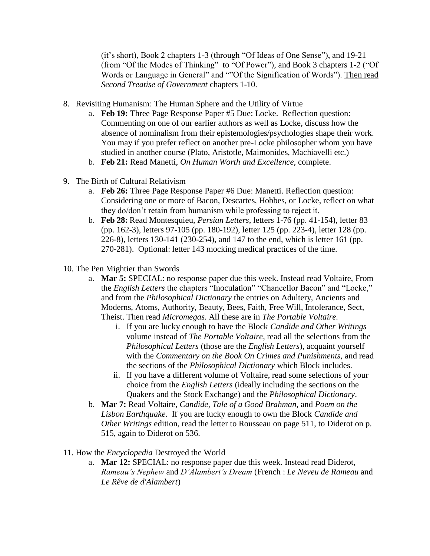(it's short), Book 2 chapters 1-3 (through "Of Ideas of One Sense"), and 19-21 (from "Of the Modes of Thinking" to "Of Power"), and Book 3 chapters 1-2 ("Of Words or Language in General" and ""Of the Signification of Words"). Then read *Second Treatise of Government* chapters 1-10.

- 8. Revisiting Humanism: The Human Sphere and the Utility of Virtue
	- a. **Feb 19:** Three Page Response Paper #5 Due: Locke. Reflection question: Commenting on one of our earlier authors as well as Locke, discuss how the absence of nominalism from their epistemologies/psychologies shape their work. You may if you prefer reflect on another pre-Locke philosopher whom you have studied in another course (Plato, Aristotle, Maimonides, Machiavelli etc.)
	- b. **Feb 21:** Read Manetti, *On Human Worth and Excellence,* complete.
- 9. The Birth of Cultural Relativism
	- a. **Feb 26:** Three Page Response Paper #6 Due: Manetti. Reflection question: Considering one or more of Bacon, Descartes, Hobbes, or Locke, reflect on what they do/don't retain from humanism while professing to reject it.
	- b. **Feb 28:** Read Montesquieu, *Persian Letters,* letters 1-76 (pp. 41-154), letter 83 (pp. 162-3), letters 97-105 (pp. 180-192), letter 125 (pp. 223-4), letter 128 (pp. 226-8), letters 130-141 (230-254), and 147 to the end, which is letter 161 (pp. 270-281). Optional: letter 143 mocking medical practices of the time.
- 10. The Pen Mightier than Swords
	- a. **Mar 5:** SPECIAL: no response paper due this week. Instead read Voltaire, From the *English Letters* the chapters "Inoculation" "Chancellor Bacon" and "Locke," and from the *Philosophical Dictionary* the entries on Adultery, Ancients and Moderns, Atoms, Authority, Beauty, Bees, Faith, Free Will, Intolerance, Sect, Theist. Then read *Micromegas.* All these are in *The Portable Voltaire.* 
		- i. If you are lucky enough to have the Block *Candide and Other Writings*  volume instead of *The Portable Voltaire,* read all the selections from the *Philosophical Letters* (those are the *English Letters*), acquaint yourself with the *Commentary on the Book On Crimes and Punishments,* and read the sections of the *Philosophical Dictionary* which Block includes.
		- ii. If you have a different volume of Voltaire, read some selections of your choice from the *English Letters* (ideally including the sections on the Quakers and the Stock Exchange) and the *Philosophical Dictionary*.
	- b. **Mar 7:** Read Voltaire, *Candide, Tale of a Good Brahman,* and *Poem on the Lisbon Earthquake.* If you are lucky enough to own the Block *Candide and Other Writings* edition, read the letter to Rousseau on page 511, to Diderot on p. 515, again to Diderot on 536.
- 11. How the *Encyclopedia* Destroyed the World
	- a. **Mar 12:** SPECIAL: no response paper due this week. Instead read Diderot, *Rameau's Nephew* and *D'Alambert's Dream* (French : *Le Neveu de Rameau* and *Le Rêve de d'Alambert*)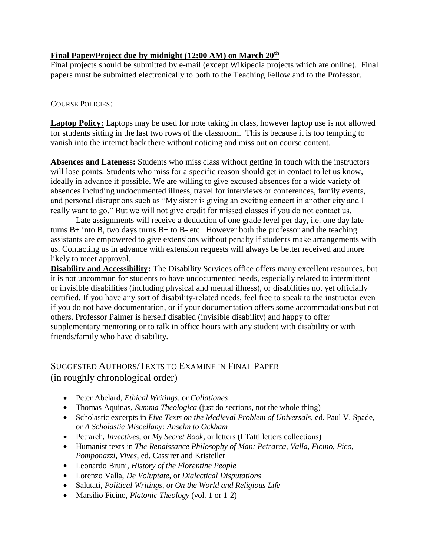## **Final Paper/Project due by midnight (12:00 AM) on March 20th**

Final projects should be submitted by e-mail (except Wikipedia projects which are online). Final papers must be submitted electronically to both to the Teaching Fellow and to the Professor.

## COURSE POLICIES:

**Laptop Policy:** Laptops may be used for note taking in class, however laptop use is not allowed for students sitting in the last two rows of the classroom. This is because it is too tempting to vanish into the internet back there without noticing and miss out on course content.

**Absences and Lateness:** Students who miss class without getting in touch with the instructors will lose points. Students who miss for a specific reason should get in contact to let us know, ideally in advance if possible. We are willing to give excused absences for a wide variety of absences including undocumented illness, travel for interviews or conferences, family events, and personal disruptions such as "My sister is giving an exciting concert in another city and I really want to go." But we will not give credit for missed classes if you do not contact us.

Late assignments will receive a deduction of one grade level per day, i.e. one day late turns  $B+$  into B, two days turns  $B+$  to  $B-$  etc. However both the professor and the teaching assistants are empowered to give extensions without penalty if students make arrangements with us. Contacting us in advance with extension requests will always be better received and more likely to meet approval.

**Disability and Accessibility:** The Disability Services office offers many excellent resources, but it is not uncommon for students to have undocumented needs, especially related to intermittent or invisible disabilities (including physical and mental illness), or disabilities not yet officially certified. If you have any sort of disability-related needs, feel free to speak to the instructor even if you do not have documentation, or if your documentation offers some accommodations but not others. Professor Palmer is herself disabled (invisible disability) and happy to offer supplementary mentoring or to talk in office hours with any student with disability or with friends/family who have disability.

# SUGGESTED AUTHORS/TEXTS TO EXAMINE IN FINAL PAPER (in roughly chronological order)

- Peter Abelard, *Ethical Writings,* or *Collationes*
- Thomas Aquinas, *Summa Theologica* (just do sections, not the whole thing)
- Scholastic excerpts in *Five Texts on the Medieval Problem of Universals*, ed. Paul V. Spade, or *A Scholastic Miscellany: Anselm to Ockham*
- Petrarch, *Invectives,* or *My Secret Book,* or letters (I Tatti letters collections)
- Humanist texts in *The Renaissance Philosophy of Man: Petrarca, Valla, Ficino, Pico, Pomponazzi, Vives,* ed. Cassirer and Kristeller
- Leonardo Bruni, *History of the Florentine People*
- Lorenzo Valla, *De Voluptate,* or *Dialectical Disputations*
- Salutati, *Political Writings,* or *On the World and Religious Life*
- Marsilio Ficino, *Platonic Theology* (vol. 1 or 1-2)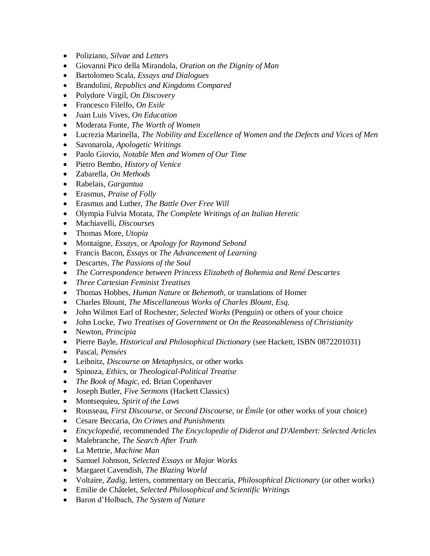- Poliziano, *Silvae* and *Letters*
- Giovanni Pico della Mirandola, *Oration on the Dignity of Man*
- Bartolomeo Scala, *Essays and Dialogues*
- Brandolini, *Republics and Kingdoms Compared*
- Polydore Virgil, *On Discovery*
- Francesco Filelfo, *On Exile*
- Juan Luis Vives, *On Education*
- Moderata Fonte, *The Worth of Women*
- Lucrezia Marinella, *The Nobility and Excellence of Women and the Defects and Vices of Men*
- Savonarola, *Apologetic Writings*
- Paolo Giovio, *Notable Men and Women of Our Time*
- Pietro Bembo, *History of Venice*
- Zabarella, *On Methods*
- Rabelais, *Gargantua*
- Erasmus, *Praise of Folly*
- Erasmus and Luther, *The Battle Over Free Will*
- Olympia Fulvia Morata, *The Complete Writings of an Italian Heretic*
- Machiavelli, *Discourses*
- Thomas More, *Utopia*
- Montaigne, *Essays*, or *Apology for Raymond Sebond*
- Francis Bacon, *Essays* or *The Advancement of Learning*
- Descartes, *The Passions of the Soul*
- *The Correspondence between Princess Elizabeth of Bohemia and René Descartes*
- *Three Cartesian Feminist Treatises*
- Thomas Hobbes, *Human Nature* or *Behemoth,* or translations of Homer
- Charles Blount, *The Miscellaneous Works of Charles Blount, Esq.*
- John Wilmot Earl of Rochester, *Selected Works* (Penguin) or others of your choice
- John Locke, *Two Treatises of Government* or *On the Reasonableness of Christianity*
- Newton, *Principia*
- Pierre Bayle, *Historical and Philosophical Dictionary* (see Hackett, ISBN 0872201031)
- Pascal, *Pensées*
- Leibnitz, *Discourse on Metaphysics*, or other works
- Spinoza, *Ethics,* or *Theological-Political Treatise*
- *The Book of Magic,* ed. Brian Copenhaver
- Joseph Butler, *Five Sermons* (Hackett Classics)
- Montsequieu, *Spirit of the Laws*
- Rousseau, *First Discourse,* or *Second Discourse,* or *Émile* (or other works of your choice)
- Cesare Beccaria, *On Crimes and Punishments*
- *Encyclopedié*, recommended *The Encyclopedie of Diderot and D'Alembert: Selected Articles*
- Malebranche, *The Search After Truth*
- La Mettrie, *Machine Man*
- Samuel Johnson, *Selected Essays* or *Major Works*
- Margaret Cavendish, *The Blazing World*
- Voltaire, *Zadig,* letters, commentary on Beccaria, *Philosophical Dictionary* (or other works)
- Emilie de Châtelet, *Selected Philosophical and Scientific Writings*
- Baron d'Holbach, *The System of Nature*